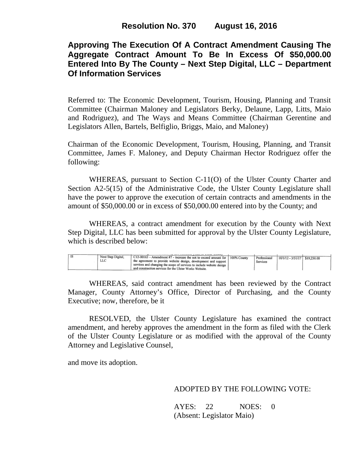# **Approving The Execution Of A Contract Amendment Causing The Aggregate Contract Amount To Be In Excess Of \$50,000.00 Entered Into By The County – Next Step Digital, LLC – Department Of Information Services**

Referred to: The Economic Development, Tourism, Housing, Planning and Transit Committee (Chairman Maloney and Legislators Berky, Delaune, Lapp, Litts, Maio and Rodriguez), and The Ways and Means Committee (Chairman Gerentine and Legislators Allen, Bartels, Belfiglio, Briggs, Maio, and Maloney)

Chairman of the Economic Development, Tourism, Housing, Planning, and Transit Committee, James F. Maloney, and Deputy Chairman Hector Rodriguez offer the following:

WHEREAS, pursuant to Section C-11(O) of the Ulster County Charter and Section A2-5(15) of the Administrative Code, the Ulster County Legislature shall have the power to approve the execution of certain contracts and amendments in the amount of \$50,000.00 or in excess of \$50,000.00 entered into by the County; and

WHEREAS, a contract amendment for execution by the County with Next Step Digital, LLC has been submitted for approval by the Ulster County Legislature, which is described below:

|  | Next Step Digital. | (C12-00163 - Amendment #7 - increase the not to exceed amount for   100% County    | Professional | $10/1/12 - 3/31/17$ \$19,250.00 |  |
|--|--------------------|------------------------------------------------------------------------------------|--------------|---------------------------------|--|
|  | LLC                | the agreement to provide website design, development and support <sup>1</sup>      | Services     |                                 |  |
|  |                    | services and changing the scope of services to include website design <sup>1</sup> |              |                                 |  |
|  |                    | and construction services for the Ulster Works Website.                            |              |                                 |  |
|  |                    |                                                                                    |              |                                 |  |

WHEREAS, said contract amendment has been reviewed by the Contract Manager, County Attorney's Office, Director of Purchasing, and the County Executive; now, therefore, be it

RESOLVED, the Ulster County Legislature has examined the contract amendment, and hereby approves the amendment in the form as filed with the Clerk of the Ulster County Legislature or as modified with the approval of the County Attorney and Legislative Counsel,

and move its adoption.

## ADOPTED BY THE FOLLOWING VOTE:

AYES: 22 NOES: 0 (Absent: Legislator Maio)